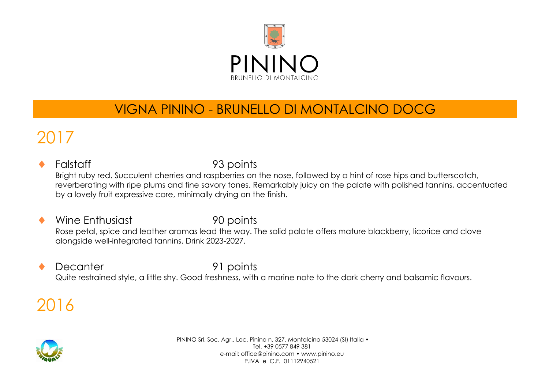

## VIGNA PININO - BRUNELLO DI MONTALCINO DOCG

## 2017

#### Falstaff 93 points Bright ruby red. Succulent cherries and raspberries on the nose, followed by a hint of rose hips and butterscotch, reverberating with ripe plums and fine savory tones. Remarkably juicy on the palate with polished tannins, accentuated by a lovely fruit expressive core, minimally drying on the finish.

#### Wine Enthusiast 90 points Rose petal, spice and leather aromas lead the way. The solid palate offers mature blackberry, licorice and clove alongside well-integrated tannins. Drink 2023-2027.

#### Decanter 91 points Quite restrained style, a little shy. Good freshness, with a marine note to the dark cherry and balsamic flavours.

## 2016

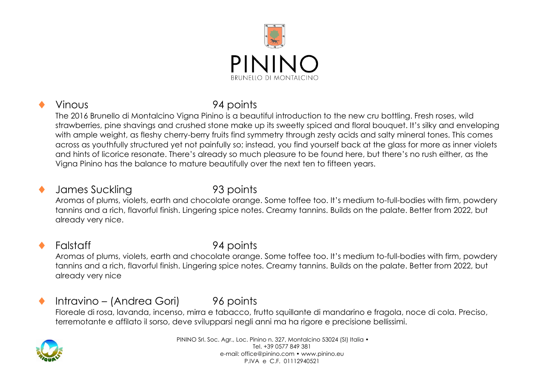

### Vinous 94 points

The 2016 Brunello di Montalcino Vigna Pinino is a beautiful introduction to the new cru bottling. Fresh roses, wild strawberries, pine shavings and crushed stone make up its sweetly spiced and floral bouquet. It's silky and enveloping with ample weight, as fleshy cherry-berry fruits find symmetry through zesty acids and salty mineral tones. This comes across as youthfully structured yet not painfully so; instead, you find yourself back at the glass for more as inner violets and hints of licorice resonate. There's already so much pleasure to be found here, but there's no rush either, as the Vigna Pinino has the balance to mature beautifully over the next ten to fifteen years.

#### James Suckling 93 points

Aromas of plums, violets, earth and chocolate orange. Some toffee too. It's medium to-full-bodies with firm, powdery tannins and a rich, flavorful finish. Lingering spice notes. Creamy tannins. Builds on the palate. Better from 2022, but already very nice.

### Falstaff 94 points

Aromas of plums, violets, earth and chocolate orange. Some toffee too. It's medium to-full-bodies with firm, powdery tannins and a rich, flavorful finish. Lingering spice notes. Creamy tannins. Builds on the palate. Better from 2022, but already very nice

### ◆ Intravino – (Andrea Gori) 96 points

Floreale di rosa, lavanda, incenso, mirra e tabacco, frutto squillante di mandarino e fragola, noce di cola. Preciso, terremotante e affilato il sorso, deve svilupparsi negli anni ma ha rigore e precisione bellissimi.

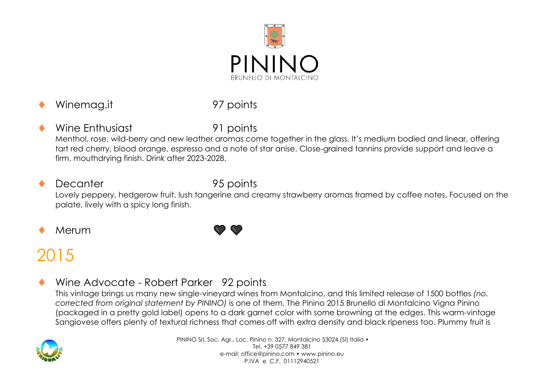

Winemag.it 97 points

Wine Enthusiast 91 points Menthol, rose, wild-berry and new leather aromas come together in the glass. It's medium bodied and linear, offering tart red cherry, blood orange, espresso and a note of star anise. Close-grained tannins provide support and leave a firm, mouthdrying finish. Drink after 2023-2028.

#### Decanter 95 points Lovely peppery, hedgerow fruit, lush tangerine and creamy strawberry aromas framed by coffee notes. Focused on the palate, lively with a spicy long finish.

Merum



# 2015

Wine Advocate - Robert Parker 92 points

This vintage brings us many new single-vineyard wines from Montalcino, and this limited release of 1500 bottles *(no. corrected from original statement by PININO)* is one of them. The Pinino 2015 Brunello di Montalcino Vigna Pinino (packaged in a pretty gold label) opens to a dark garnet color with some browning at the edges. This warm-vintage Sangiovese offers plenty of textural richness that comes off with extra density and black ripeness too. Plummy fruit is